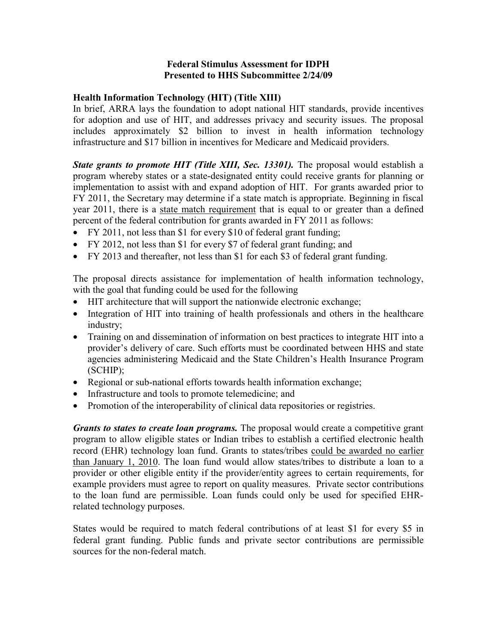## **Federal Stimulus Assessment for IDPH Presented to HHS Subcommittee 2/24/09**

## **Health Information Technology (HIT) (Title XIII)**

In brief, ARRA lays the foundation to adopt national HIT standards, provide incentives for adoption and use of HIT, and addresses privacy and security issues. The proposal includes approximately \$2 billion to invest in health information technology infrastructure and \$17 billion in incentives for Medicare and Medicaid providers.

*State grants to promote HIT (Title XIII, Sec. 13301).* The proposal would establish a program whereby states or a state-designated entity could receive grants for planning or implementation to assist with and expand adoption of HIT. For grants awarded prior to FY 2011, the Secretary may determine if a state match is appropriate. Beginning in fiscal year 2011, there is a state match requirement that is equal to or greater than a defined percent of the federal contribution for grants awarded in FY 2011 as follows:

- FY 2011, not less than \$1 for every \$10 of federal grant funding;
- FY 2012, not less than \$1 for every \$7 of federal grant funding; and
- FY 2013 and thereafter, not less than \$1 for each \$3 of federal grant funding.

The proposal directs assistance for implementation of health information technology, with the goal that funding could be used for the following

- HIT architecture that will support the nationwide electronic exchange;
- Integration of HIT into training of health professionals and others in the healthcare industry;
- Training on and dissemination of information on best practices to integrate HIT into a provider's delivery of care. Such efforts must be coordinated between HHS and state agencies administering Medicaid and the State Children's Health Insurance Program (SCHIP);
- Regional or sub-national efforts towards health information exchange;
- Infrastructure and tools to promote telemedicine; and
- Promotion of the interoperability of clinical data repositories or registries.

*Grants to states to create loan programs.* The proposal would create a competitive grant program to allow eligible states or Indian tribes to establish a certified electronic health record (EHR) technology loan fund. Grants to states/tribes could be awarded no earlier than January 1, 2010. The loan fund would allow states/tribes to distribute a loan to a provider or other eligible entity if the provider/entity agrees to certain requirements, for example providers must agree to report on quality measures. Private sector contributions to the loan fund are permissible. Loan funds could only be used for specified EHRrelated technology purposes.

States would be required to match federal contributions of at least \$1 for every \$5 in federal grant funding. Public funds and private sector contributions are permissible sources for the non-federal match.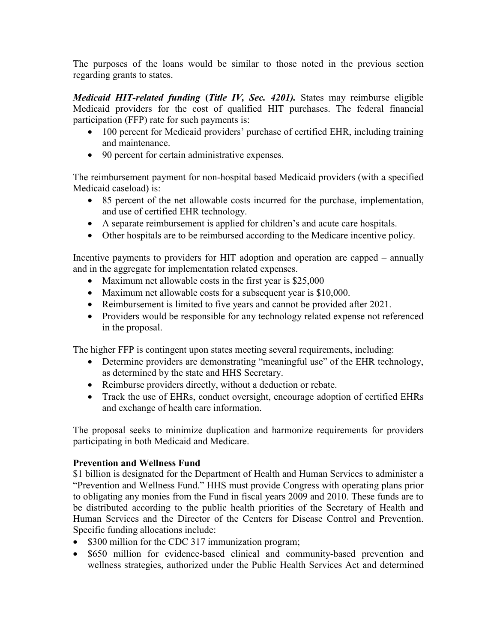The purposes of the loans would be similar to those noted in the previous section regarding grants to states.

*Medicaid HIT-related funding* **(***Title IV, Sec. 4201).* States may reimburse eligible Medicaid providers for the cost of qualified HIT purchases. The federal financial participation (FFP) rate for such payments is:

- 100 percent for Medicaid providers' purchase of certified EHR, including training and maintenance.
- 90 percent for certain administrative expenses.

The reimbursement payment for non-hospital based Medicaid providers (with a specified Medicaid caseload) is:

- 85 percent of the net allowable costs incurred for the purchase, implementation, and use of certified EHR technology.
- A separate reimbursement is applied for children's and acute care hospitals.
- Other hospitals are to be reimbursed according to the Medicare incentive policy.

Incentive payments to providers for HIT adoption and operation are capped – annually and in the aggregate for implementation related expenses.

- Maximum net allowable costs in the first year is \$25,000
- Maximum net allowable costs for a subsequent year is \$10,000.
- Reimbursement is limited to five years and cannot be provided after 2021.
- Providers would be responsible for any technology related expense not referenced in the proposal.

The higher FFP is contingent upon states meeting several requirements, including:

- Determine providers are demonstrating "meaningful use" of the EHR technology, as determined by the state and HHS Secretary.
- Reimburse providers directly, without a deduction or rebate.
- Track the use of EHRs, conduct oversight, encourage adoption of certified EHRs and exchange of health care information.

The proposal seeks to minimize duplication and harmonize requirements for providers participating in both Medicaid and Medicare.

## **Prevention and Wellness Fund**

\$1 billion is designated for the Department of Health and Human Services to administer a "Prevention and Wellness Fund." HHS must provide Congress with operating plans prior to obligating any monies from the Fund in fiscal years 2009 and 2010. These funds are to be distributed according to the public health priorities of the Secretary of Health and Human Services and the Director of the Centers for Disease Control and Prevention. Specific funding allocations include:

- \$300 million for the CDC 317 immunization program;
- \$650 million for evidence-based clinical and community-based prevention and wellness strategies, authorized under the Public Health Services Act and determined